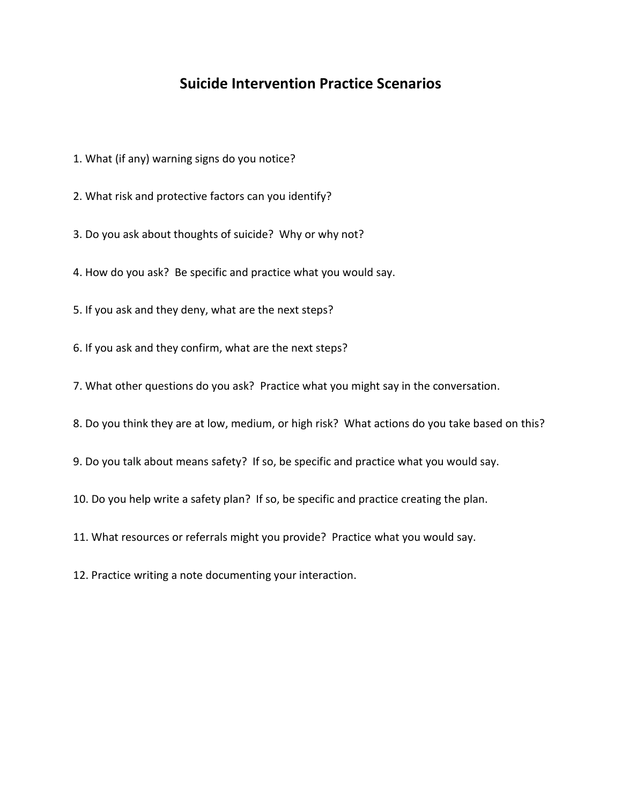## **Suicide Intervention Practice Scenarios**

- 1. What (if any) warning signs do you notice?
- 2. What risk and protective factors can you identify?
- 3. Do you ask about thoughts of suicide? Why or why not?
- 4. How do you ask? Be specific and practice what you would say.
- 5. If you ask and they deny, what are the next steps?
- 6. If you ask and they confirm, what are the next steps?
- 7. What other questions do you ask? Practice what you might say in the conversation.
- 8. Do you think they are at low, medium, or high risk? What actions do you take based on this?
- 9. Do you talk about means safety? If so, be specific and practice what you would say.
- 10. Do you help write a safety plan? If so, be specific and practice creating the plan.
- 11. What resources or referrals might you provide? Practice what you would say.
- 12. Practice writing a note documenting your interaction.